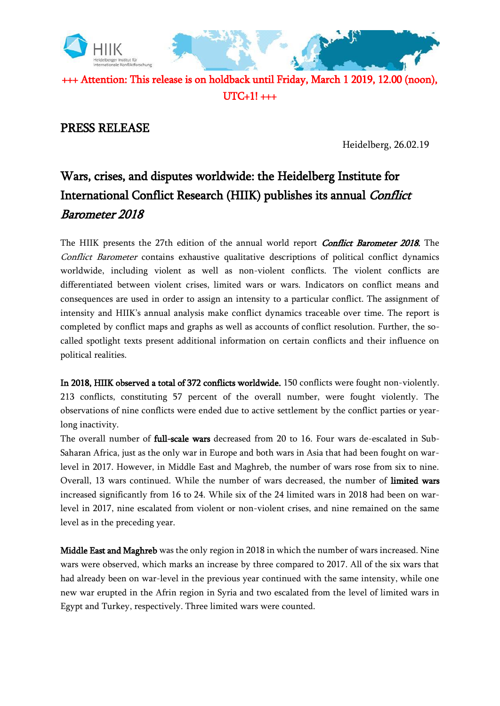

UTC+1! +++

## PRESS RELEASE

Heidelberg, 26.02.19

## Wars, crises, and disputes worldwide: the Heidelberg Institute for International Conflict Research (HIIK) publishes its annual Conflict Barometer 2018

The HIIK presents the 27th edition of the annual world report *Conflict Barometer 2018*. The Conflict Barometer contains exhaustive qualitative descriptions of political conflict dynamics worldwide, including violent as well as non-violent conflicts. The violent conflicts are differentiated between violent crises, limited wars or wars. Indicators on conflict means and consequences are used in order to assign an intensity to a particular conflict. The assignment of intensity and HIIK's annual analysis make conflict dynamics traceable over time. The report is completed by conflict maps and graphs as well as accounts of conflict resolution. Further, the socalled spotlight texts present additional information on certain conflicts and their influence on political realities.

In 2018, HIIK observed a total of 372 conflicts worldwide. 150 conflicts were fought non-violently. 213 conflicts, constituting 57 percent of the overall number, were fought violently. The observations of nine conflicts were ended due to active settlement by the conflict parties or yearlong inactivity.

The overall number of **full-scale wars** decreased from 20 to 16. Four wars de-escalated in Sub-Saharan Africa, just as the only war in Europe and both wars in Asia that had been fought on warlevel in 2017. However, in Middle East and Maghreb, the number of wars rose from six to nine. Overall, 13 wars continued. While the number of wars decreased, the number of limited wars increased significantly from 16 to 24. While six of the 24 limited wars in 2018 had been on warlevel in 2017, nine escalated from violent or non-violent crises, and nine remained on the same level as in the preceding year.

Middle East and Maghreb was the only region in 2018 in which the number of wars increased. Nine wars were observed, which marks an increase by three compared to 2017. All of the six wars that had already been on war-level in the previous year continued with the same intensity, while one new war erupted in the Afrin region in Syria and two escalated from the level of limited wars in Egypt and Turkey, respectively. Three limited wars were counted.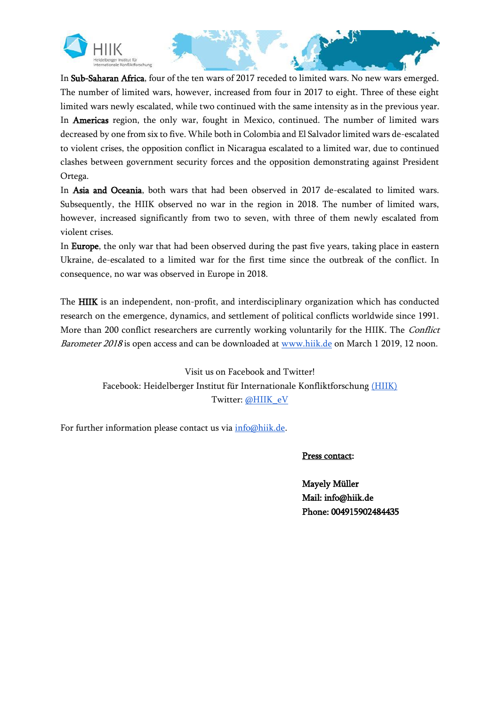



In Sub-Saharan Africa, four of the ten wars of 2017 receded to limited wars. No new wars emerged. The number of limited wars, however, increased from four in 2017 to eight. Three of these eight limited wars newly escalated, while two continued with the same intensity as in the previous year. In Americas region, the only war, fought in Mexico, continued. The number of limited wars decreased by one from six to five. While both in Colombia and El Salvador limited wars de-escalated to violent crises, the opposition conflict in Nicaragua escalated to a limited war, due to continued clashes between government security forces and the opposition demonstrating against President Ortega.

In Asia and Oceania, both wars that had been observed in 2017 de-escalated to limited wars. Subsequently, the HIIK observed no war in the region in 2018. The number of limited wars, however, increased significantly from two to seven, with three of them newly escalated from violent crises.

In Europe, the only war that had been observed during the past five years, taking place in eastern Ukraine, de-escalated to a limited war for the first time since the outbreak of the conflict. In consequence, no war was observed in Europe in 2018.

The HIIK is an independent, non-profit, and interdisciplinary organization which has conducted research on the emergence, dynamics, and settlement of political conflicts worldwide since 1991. More than 200 conflict researchers are currently working voluntarily for the HIIK. The Conflict Barometer 2018 is open access and can be downloaded at [www.hiik.de](http://www.hiik.de/) on March 1 2019, 12 noon.

> Visit us on Facebook and Twitter! Facebook: Heidelberger Institut für Internationale Konfliktforschung [\(HIIK\)](https://www.facebook.com/HIIKeV/) Twitter: [@HIIK\\_eV](https://twitter.com/hiik_ev?lang=de)

For further information please contact us via  $info@hik.de$ .

Press contact:

Mayely Müller Mail: info@hiik.de Phone: 004915902484435